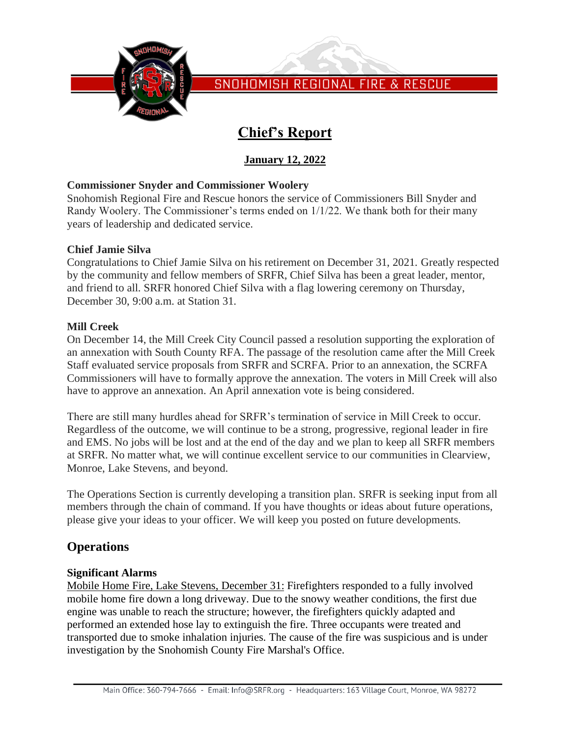

# **Chief's Report**

# **January 12, 2022**

# **Commissioner Snyder and Commissioner Woolery**

Snohomish Regional Fire and Rescue honors the service of Commissioners Bill Snyder and Randy Woolery. The Commissioner's terms ended on 1/1/22. We thank both for their many years of leadership and dedicated service.

## **Chief Jamie Silva**

Congratulations to Chief Jamie Silva on his retirement on December 31, 2021. Greatly respected by the community and fellow members of SRFR, Chief Silva has been a great leader, mentor, and friend to all. SRFR honored Chief Silva with a flag lowering ceremony on Thursday, December 30, 9:00 a.m. at Station 31.

# **Mill Creek**

On December 14, the Mill Creek City Council passed a resolution supporting the exploration of an annexation with South County RFA. The passage of the resolution came after the Mill Creek Staff evaluated service proposals from SRFR and SCRFA. Prior to an annexation, the SCRFA Commissioners will have to formally approve the annexation. The voters in Mill Creek will also have to approve an annexation. An April annexation vote is being considered.

There are still many hurdles ahead for SRFR's termination of service in Mill Creek to occur. Regardless of the outcome, we will continue to be a strong, progressive, regional leader in fire and EMS. No jobs will be lost and at the end of the day and we plan to keep all SRFR members at SRFR. No matter what, we will continue excellent service to our communities in Clearview, Monroe, Lake Stevens, and beyond.

The Operations Section is currently developing a transition plan. SRFR is seeking input from all members through the chain of command. If you have thoughts or ideas about future operations, please give your ideas to your officer. We will keep you posted on future developments.

# **Operations**

## **Significant Alarms**

Mobile Home Fire, Lake Stevens, December 31: Firefighters responded to a fully involved mobile home fire down a long driveway. Due to the snowy weather conditions, the first due engine was unable to reach the structure; however, the firefighters quickly adapted and performed an extended hose lay to extinguish the fire. Three occupants were treated and transported due to smoke inhalation injuries. The cause of the fire was suspicious and is under investigation by the Snohomish County Fire Marshal's Office.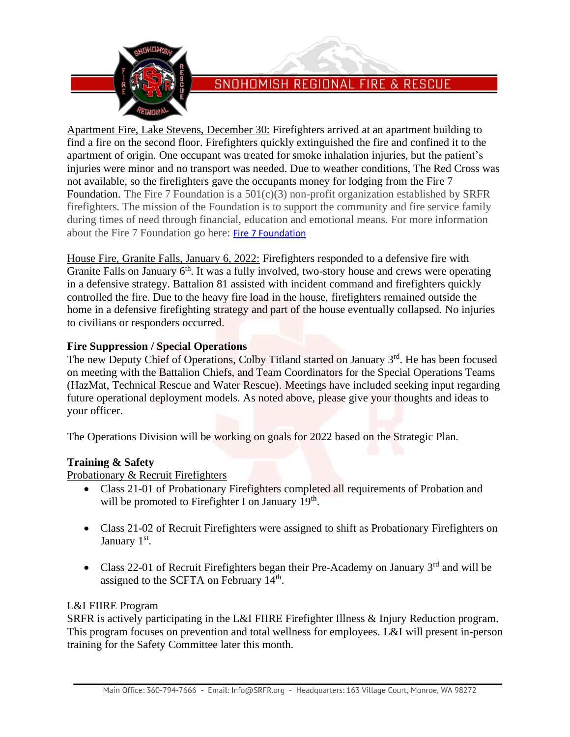

Apartment Fire, Lake Stevens, December 30: Firefighters arrived at an apartment building to find a fire on the second floor. Firefighters quickly extinguished the fire and confined it to the apartment of origin. One occupant was treated for smoke inhalation injuries, but the patient's injuries were minor and no transport was needed. Due to weather conditions, The Red Cross was not available, so the firefighters gave the occupants money for lodging from the Fire 7 Foundation. The Fire 7 Foundation is a  $501(c)(3)$  non-profit organization established by SRFR firefighters. The mission of the Foundation is to support the community and fire service family during times of need through financial, education and emotional means. For more information about the Fire 7 Foundation go here: [Fire 7 Foundation](https://fire7.org/)

House Fire, Granite Falls, January 6, 2022: Firefighters responded to a defensive fire with Granite Falls on January 6<sup>th</sup>. It was a fully involved, two-story house and crews were operating in a defensive strategy. Battalion 81 assisted with incident command and firefighters quickly controlled the fire. Due to the heavy fire load in the house, firefighters remained outside the home in a defensive firefighting strategy and part of the house eventually collapsed. No injuries to civilians or responders occurred.

# **Fire Suppression / Special Operations**

The new Deputy Chief of Operations, Colby Titland started on January 3<sup>rd</sup>. He has been focused on meeting with the Battalion Chiefs, and Team Coordinators for the Special Operations Teams (HazMat, Technical Rescue and Water Rescue). Meetings have included seeking input regarding future operational deployment models. As noted above, please give your thoughts and ideas to your officer.

The Operations Division will be working on goals for 2022 based on the Strategic Plan.

## **Training & Safety**

Probationary & Recruit Firefighters

- Class 21-01 of Probationary Firefighters completed all requirements of Probation and will be promoted to Firefighter I on January 19<sup>th</sup>.
- Class 21-02 of Recruit Firefighters were assigned to shift as Probationary Firefighters on January 1<sup>st</sup>.
- Class 22-01 of Recruit Firefighters began their Pre-Academy on January  $3<sup>rd</sup>$  and will be assigned to the SCFTA on February 14<sup>th</sup>.

## L&I FIIRE Program

SRFR is actively participating in the L&I FIIRE Firefighter Illness & Injury Reduction program. This program focuses on prevention and total wellness for employees. L&I will present in-person training for the Safety Committee later this month.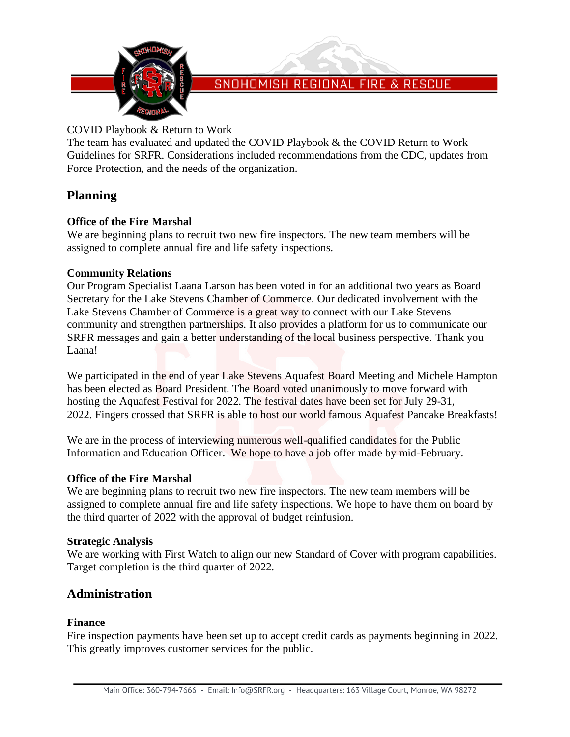

# COVID Playbook & Return to Work

The team has evaluated and updated the COVID Playbook & the COVID Return to Work Guidelines for SRFR. Considerations included recommendations from the CDC, updates from Force Protection, and the needs of the organization.

# **Planning**

# **Office of the Fire Marshal**

We are beginning plans to recruit two new fire inspectors. The new team members will be assigned to complete annual fire and life safety inspections.

## **Community Relations**

Our Program Specialist Laana Larson has been voted in for an additional two years as Board Secretary for the Lake Stevens Chamber of Commerce. Our dedicated involvement with the Lake Stevens Chamber of Commerce is a great way to connect with our Lake Stevens community and strengthen partnerships. It also provides a platform for us to communicate our SRFR messages and gain a better understanding of the local business perspective. Thank you Laana!

We participated in the end of year Lake Stevens Aquafest Board Meeting and Michele Hampton has been elected as Board President. The Board voted unanimously to move forward with hosting the Aquafest Festival for 2022. The festival dates have been set for July 29-31, 2022. Fingers crossed that SRFR is able to host our world famous Aquafest Pancake Breakfasts!

We are in the process of interviewing numerous well-qualified candidates for the Public Information and Education Officer. We hope to have a job offer made by mid-February.

## **Office of the Fire Marshal**

We are beginning plans to recruit two new fire inspectors. The new team members will be assigned to complete annual fire and life safety inspections. We hope to have them on board by the third quarter of 2022 with the approval of budget reinfusion.

## **Strategic Analysis**

We are working with First Watch to align our new Standard of Cover with program capabilities. Target completion is the third quarter of 2022.

# **Administration**

## **Finance**

Fire inspection payments have been set up to accept credit cards as payments beginning in 2022. This greatly improves customer services for the public.